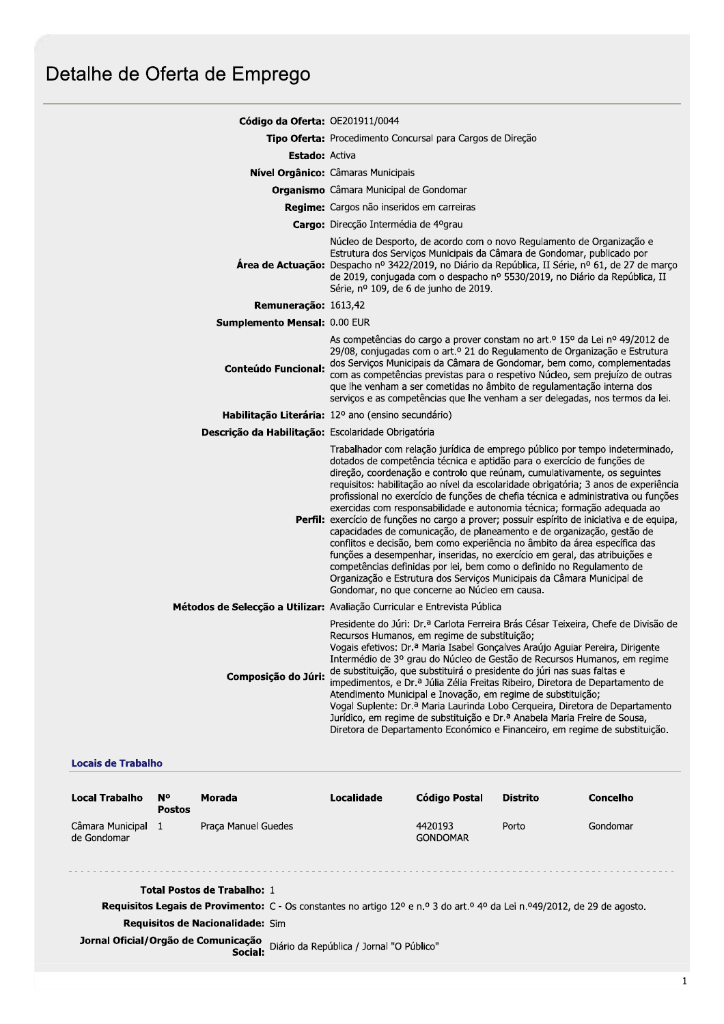## Detalhe de Oferta de Emprego

| Código da Oferta: OE201911/0044                    |                                                                                                                                                                                                                                                                                                                                                                                                                                                                                                                                                                                                                                                                                                                                                                                                                                                                                                                                                                                                                                        |  |  |  |
|----------------------------------------------------|----------------------------------------------------------------------------------------------------------------------------------------------------------------------------------------------------------------------------------------------------------------------------------------------------------------------------------------------------------------------------------------------------------------------------------------------------------------------------------------------------------------------------------------------------------------------------------------------------------------------------------------------------------------------------------------------------------------------------------------------------------------------------------------------------------------------------------------------------------------------------------------------------------------------------------------------------------------------------------------------------------------------------------------|--|--|--|
|                                                    | Tipo Oferta: Procedimento Concursal para Cargos de Direção                                                                                                                                                                                                                                                                                                                                                                                                                                                                                                                                                                                                                                                                                                                                                                                                                                                                                                                                                                             |  |  |  |
| <b>Estado: Activa</b>                              |                                                                                                                                                                                                                                                                                                                                                                                                                                                                                                                                                                                                                                                                                                                                                                                                                                                                                                                                                                                                                                        |  |  |  |
|                                                    | <b>Nível Orgânico:</b> Câmaras Municipais                                                                                                                                                                                                                                                                                                                                                                                                                                                                                                                                                                                                                                                                                                                                                                                                                                                                                                                                                                                              |  |  |  |
|                                                    | <b>Organismo</b> Câmara Municipal de Gondomar                                                                                                                                                                                                                                                                                                                                                                                                                                                                                                                                                                                                                                                                                                                                                                                                                                                                                                                                                                                          |  |  |  |
|                                                    | Regime: Cargos não inseridos em carreiras                                                                                                                                                                                                                                                                                                                                                                                                                                                                                                                                                                                                                                                                                                                                                                                                                                                                                                                                                                                              |  |  |  |
|                                                    | Cargo: Direcção Intermédia de 4ºgrau                                                                                                                                                                                                                                                                                                                                                                                                                                                                                                                                                                                                                                                                                                                                                                                                                                                                                                                                                                                                   |  |  |  |
|                                                    | Núcleo de Desporto, de acordo com o novo Regulamento de Organização e<br>Estrutura dos Serviços Municipais da Câmara de Gondomar, publicado por<br>Área de Actuação: Despacho nº 3422/2019, no Diário da República, II Série, nº 61, de 27 de março<br>de 2019, conjugada com o despacho nº 5530/2019, no Diário da República, II<br>Série, nº 109, de 6 de junho de 2019.                                                                                                                                                                                                                                                                                                                                                                                                                                                                                                                                                                                                                                                             |  |  |  |
| Remuneração: 1613,42                               |                                                                                                                                                                                                                                                                                                                                                                                                                                                                                                                                                                                                                                                                                                                                                                                                                                                                                                                                                                                                                                        |  |  |  |
| Sumplemento Mensal: 0.00 EUR                       |                                                                                                                                                                                                                                                                                                                                                                                                                                                                                                                                                                                                                                                                                                                                                                                                                                                                                                                                                                                                                                        |  |  |  |
| <b>Conteúdo Funcional:</b>                         | As competências do cargo a prover constam no art.º 15º da Lei nº 49/2012 de<br>29/08, conjugadas com o art.º 21 do Regulamento de Organização e Estrutura<br>dos Serviços Municipais da Câmara de Gondomar, bem como, complementadas<br>com as competências previstas para o respetivo Núcleo, sem prejuízo de outras<br>que lhe venham a ser cometidas no âmbito de regulamentação interna dos<br>serviços e as competências que lhe venham a ser delegadas, nos termos da lei.                                                                                                                                                                                                                                                                                                                                                                                                                                                                                                                                                       |  |  |  |
|                                                    | Habilitação Literária: 12º ano (ensino secundário)                                                                                                                                                                                                                                                                                                                                                                                                                                                                                                                                                                                                                                                                                                                                                                                                                                                                                                                                                                                     |  |  |  |
| Descrição da Habilitação: Escolaridade Obrigatória |                                                                                                                                                                                                                                                                                                                                                                                                                                                                                                                                                                                                                                                                                                                                                                                                                                                                                                                                                                                                                                        |  |  |  |
|                                                    | Trabalhador com relação jurídica de emprego público por tempo indeterminado,<br>dotados de competência técnica e aptidão para o exercício de funções de<br>direção, coordenação e controlo que reúnam, cumulativamente, os seguintes<br>requisitos: habilitação ao nível da escolaridade obrigatória; 3 anos de experiência<br>profissional no exercício de funções de chefia técnica e administrativa ou funções<br>exercidas com responsabilidade e autonomia técnica; formação adequada ao<br>Perfil: exercício de funções no cargo a prover; possuir espírito de iniciativa e de equipa,<br>capacidades de comunicação, de planeamento e de organização, gestão de<br>conflitos e decisão, bem como experiência no âmbito da área específica das<br>funções a desempenhar, inseridas, no exercício em geral, das atribuições e<br>competências definidas por lei, bem como o definido no Regulamento de<br>Organização e Estrutura dos Serviços Municipais da Câmara Municipal de<br>Gondomar, no que concerne ao Núcleo em causa. |  |  |  |
|                                                    | Métodos de Selecção a Utilizar: Avaliação Curricular e Entrevista Pública                                                                                                                                                                                                                                                                                                                                                                                                                                                                                                                                                                                                                                                                                                                                                                                                                                                                                                                                                              |  |  |  |
| Composição do Júri:                                | Presidente do Júri: Dr.ª Carlota Ferreira Brás César Teixeira, Chefe de Divisão de<br>Recursos Humanos, em regime de substituição;<br>Vogais efetivos: Dr.ª Maria Isabel Gonçalves Araújo Aguiar Pereira, Dirigente<br>Intermédio de 3º grau do Núcleo de Gestão de Recursos Humanos, em regime<br>de substituição, que substituirá o presidente do júri nas suas faltas e<br>impedimentos, e Dr.ª Júlia Zélia Freitas Ribeiro, Diretora de Departamento de<br>Atendimento Municipal e Inovação, em regime de substituição;<br>Vogal Suplente: Dr.ª Maria Laurinda Lobo Cerqueira, Diretora de Departamento<br>Jurídico, em regime de substituição e Dr.ª Anabela Maria Freire de Sousa,<br>Diretora de Departamento Económico e Financeiro, em regime de substituição.                                                                                                                                                                                                                                                                |  |  |  |

## **Locais de Trabalho**

| <b>Local Trabalho</b>                                                                                                                       | <b>N°</b><br><b>Postos</b> | Morada              | Localidade | <b>Código Postal</b>       | <b>Distrito</b> | Concelho |  |  |
|---------------------------------------------------------------------------------------------------------------------------------------------|----------------------------|---------------------|------------|----------------------------|-----------------|----------|--|--|
| Câmara Municipal<br>de Gondomar                                                                                                             | -1                         | Praca Manuel Guedes |            | 4420193<br><b>GONDOMAR</b> | Porto           | Gondomar |  |  |
| <b>Total Postos de Trabalho: 1</b>                                                                                                          |                            |                     |            |                            |                 |          |  |  |
| <b>Requisitos Legais de Provimento:</b> C - Os constantes no artigo 12 <sup>o</sup> e n.º 3 do art.º 4º da Lei n.º49/2012, de 29 de agosto. |                            |                     |            |                            |                 |          |  |  |

Requisitos de Nacionalidade: Sim

Jornal Oficial/Orgão de Comunicação<br>Social: Diário da República / Jornal "O Público"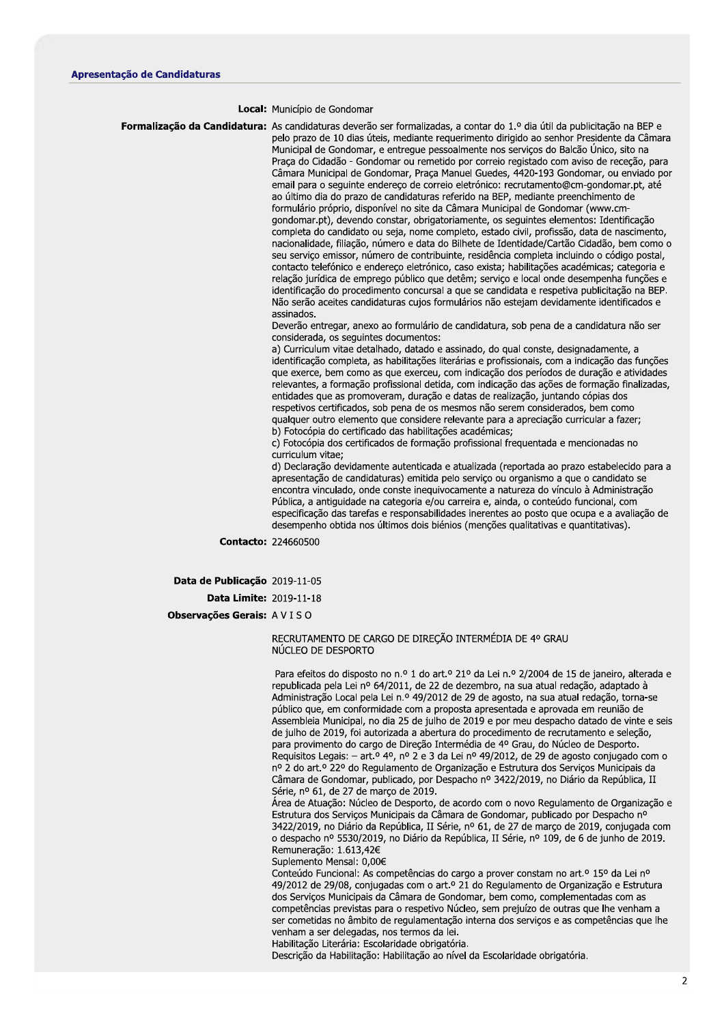## Local: Município de Gondomar

Formalização da Candidatura: As candidaturas deverão ser formalizadas, a contar do 1.º dia útil da publicitação na BEP e pelo prazo de 10 dias úteis, mediante requerimento dirigido ao senhor Presidente da Câmara Municipal de Gondomar, e entregue pessoalmente nos serviços do Balcão Único, sito na Praça do Cidadão - Gondomar ou remetido por correio registado com aviso de receção, para Câmara Municipal de Gondomar, Praça Manuel Guedes, 4420-193 Gondomar, ou enviado por email para o seguinte endereco de correio eletrónico: recrutamento@cm-gondomar.pt, até ao último dia do prazo de candidaturas referido na BEP, mediante preenchimento de formulário próprio, disponível no site da Câmara Municipal de Gondomar (www.cmgondomar.pt), devendo constar, obrigatoriamente, os seguintes elementos: Identificação completa do candidato ou seja, nome completo, estado civil, profissão, data de nascimento, nacionalidade, filiação, número e data do Bilhete de Identidade/Cartão Cidadão, bem como o seu serviço emissor, número de contribuinte, residência completa incluindo o código postal, contacto telefónico e endereço eletrónico, caso exista; habilitações académicas; categoria e relação jurídica de emprego público que detêm; serviço e local onde desempenha funções e identificação do procedimento concursal a que se candidata e respetiva publicitação na BEP. Não serão aceites candidaturas cujos formulários não estejam devidamente identificados e assinados.

> Deverão entregar, anexo ao formulário de candidatura, sob pena de a candidatura não ser considerada, os seguintes documentos:

a) Curriculum vitae detalhado, datado e assinado, do qual conste, designadamente, a identificação completa, as habilitações literárias e profissionais, com a indicação das funções que exerce, bem como as que exerceu, com indicação dos períodos de duração e atividades relevantes, a formação profissional detida, com indicação das ações de formação finalizadas, entidades que as promoveram, duração e datas de realização, juntando cópias dos respetivos certificados, sob pena de os mesmos não serem considerados, bem como qualquer outro elemento que considere relevante para a apreciação curricular a fazer; b) Fotocópia do certificado das habilitações académicas;

c) Fotocópia dos certificados de formação profissional frequentada e mencionadas no curriculum vitae:

d) Declaração devidamente autenticada e atualizada (reportada ao prazo estabelecido para a apresentação de candidaturas) emitida pelo servico ou organismo a que o candidato se encontra vinculado, onde conste inequivocamente a natureza do vínculo à Administração Pública, a antiguidade na categoria e/ou carreira e, ainda, o conteúdo funcional, com especificação das tarefas e responsabilidades inerentes ao posto que ocupa e a avaliação de desempenho obtida nos últimos dois biénios (menções qualitativas e quantitativas).

Contacto: 224660500

Data de Publicação 2019-11-05

**Data Limite: 2019-11-18** 

Observações Gerais: AVISO

## RECRUTAMENTO DE CARGO DE DIREÇÃO INTERMÉDIA DE 4º GRAU NÚCLEO DE DESPORTO

Para efeitos do disposto no n.º 1 do art.º 21º da Lei n.º 2/2004 de 15 de janeiro, alterada e republicada pela Lei nº 64/2011, de 22 de dezembro, na sua atual redação, adaptado à Administração Local pela Lei n.º 49/2012 de 29 de agosto, na sua atual redação, torna-se público que, em conformidade com a proposta apresentada e aprovada em reunião de Assembleia Municipal, no dia 25 de julho de 2019 e por meu despacho datado de vinte e seis de julho de 2019, foi autorizada a abertura do procedimento de recrutamento e seleção, para provimento do cargo de Direção Intermédia de 4º Grau, do Núcleo de Desporto. Requisitos Legais: - art.º 4º, nº 2 e 3 da Lei nº 49/2012, de 29 de agosto conjugado com o nº 2 do art.º 22º do Regulamento de Organização e Estrutura dos Serviços Municipais da Câmara de Gondomar, publicado, por Despacho nº 3422/2019, no Diário da República, II Série, nº 61, de 27 de março de 2019.

Área de Atuação: Núcleo de Desporto, de acordo com o novo Regulamento de Organização e Estrutura dos Serviços Municipais da Câmara de Gondomar, publicado por Despacho nº 3422/2019, no Diário da República, II Série, nº 61, de 27 de marco de 2019, conjugada com o despacho nº 5530/2019, no Diário da República, II Série, nº 109, de 6 de junho de 2019. Remuneração: 1.613,42€

Suplemento Mensal: 0,00€

Conteúdo Funcional: As competências do cargo a prover constam no art.<sup>o</sup> 15<sup>o</sup> da Lei nº 49/2012 de 29/08, conjugadas com o art.º 21 do Regulamento de Organização e Estrutura dos Serviços Municipais da Câmara de Gondomar, bem como, complementadas com as competências previstas para o respetivo Núcleo, sem prejuízo de outras que lhe venham a ser cometidas no âmbito de regulamentação interna dos serviços e as competências que lhe venham a ser delegadas, nos termos da lei.

Habilitação Literária: Escolaridade obrigatória.

Descrição da Habilitação: Habilitação ao nível da Escolaridade obrigatória.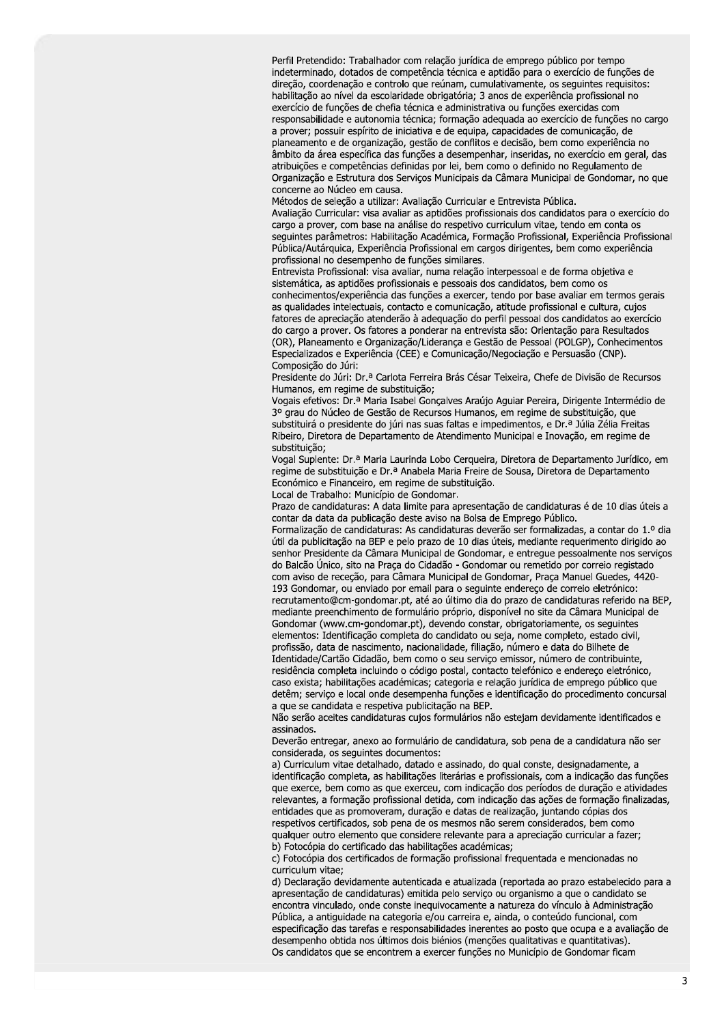Perfil Pretendido: Trabalhador com relação jurídica de emprego público por tempo indeterminado, dotados de competência técnica e aptidão para o exercício de funções de direção, coordenação e controlo que reúnam, cumulativamente, os seguintes requisitos: habilitação ao nível da escolaridade obrigatória; 3 anos de experiência profissional no exercício de funções de chefia técnica e administrativa ou funções exercidas com responsabilidade e autonomia técnica; formação adequada ao exercício de funções no cargo a prover; possuir espírito de iniciativa e de equipa, capacidades de comunicação, de planeamento e de organização, gestão de conflitos e decisão, bem como experiência no âmbito da área específica das funções a desempenhar, inseridas, no exercício em geral, das atribuições e competências definidas por lei, bem como o definido no Regulamento de Organização e Estrutura dos Serviços Municipais da Câmara Municipal de Gondomar, no que concerne ao Núcleo em causa.

Métodos de seleção a utilizar: Avaliação Curricular e Entrevista Pública.

Avaliação Curricular: visa avaliar as aptidões profissionais dos candidatos para o exercício do cargo a prover, com base na análise do respetivo curriculum vitae, tendo em conta os seguintes parâmetros: Habilitação Académica, Formação Profissional, Experiência Profissional Pública/Autárquica, Experiência Profissional em cargos dirigentes, bem como experiência profissional no desempenho de funções similares.

Entrevista Profissional: visa avaliar, numa relação interpessoal e de forma objetiva e sistemática, as aptidões profissionais e pessoais dos candidatos, bem como os conhecimentos/experiência das funções a exercer, tendo por base avaliar em termos gerais as qualidades intelectuais, contacto e comunicação, atitude profissional e cultura, cujos fatores de apreciação atenderão à adequação do perfil pessoal dos candidatos ao exercício do cargo a prover. Os fatores a ponderar na entrevista são: Orientação para Resultados (OR), Planeamento e Organização/Liderança e Gestão de Pessoal (POLGP), Conhecimentos Especializados e Experiência (CEE) e Comunicação/Negociação e Persuasão (CNP). Composição do Júri:

Presidente do Júri: Dr.ª Carlota Ferreira Brás César Teixeira, Chefe de Divisão de Recursos Humanos, em regime de substituição;

Vogais efetivos: Dr.ª Maria Isabel Gonçalves Araújo Aguiar Pereira, Dirigente Intermédio de 3º grau do Núcleo de Gestão de Recursos Humanos, em regime de substituição, que substituirá o presidente do júri nas suas faltas e impedimentos, e Dr.ª Júlia Zélia Freitas Ribeiro, Diretora de Departamento de Atendimento Municipal e Inovação, em regime de substituicão:

Vogal Suplente: Dr.ª Maria Laurinda Lobo Cerqueira, Diretora de Departamento Jurídico, em regime de substituição e Dr.ª Anabela Maria Freire de Sousa, Diretora de Departamento Económico e Financeiro, em regime de substituição.

Local de Trabalho: Município de Gondomar.

Prazo de candidaturas: A data limite para apresentação de candidaturas é de 10 dias úteis a contar da data da publicação deste aviso na Bolsa de Emprego Público.

Formalização de candidaturas: As candidaturas deverão ser formalizadas, a contar do 1.º dia útil da publicitação na BEP e pelo prazo de 10 dias úteis, mediante requerimento dirigido ao senhor Presidente da Câmara Municipal de Gondomar, e entregue pessoalmente nos serviços do Balcão Único, sito na Praça do Cidadão - Gondomar ou remetido por correio registado com aviso de receção, para Câmara Municipal de Gondomar, Praça Manuel Guedes, 4420-193 Gondomar, ou enviado por email para o seguinte endereço de correio eletrónico: recrutamento@cm-gondomar.pt, até ao último dia do prazo de candidaturas referido na BEP, mediante preenchimento de formulário próprio, disponível no site da Câmara Municipal de Gondomar (www.cm-gondomar.pt), devendo constar, obrigatoriamente, os seguintes elementos: Identificação completa do candidato ou seja, nome completo, estado civil, profissão, data de nascimento, nacionalidade, filiação, número e data do Bilhete de Identidade/Cartão Cidadão, bem como o seu serviço emissor, número de contribuinte, residência completa incluindo o código postal, contacto telefónico e endereço eletrónico, caso exista; habilitações académicas; categoria e relação jurídica de emprego público que detêm; servico e local onde desempenha funções e identificação do procedimento concursal a que se candidata e respetiva publicitação na BEP.

Não serão aceites candidaturas cujos formulários não estejam devidamente identificados e assinados.

Deverão entregar, anexo ao formulário de candidatura, sob pena de a candidatura não ser considerada, os seguintes documentos:

a) Curriculum vitae detalhado, datado e assinado, do qual conste, designadamente, a identificação completa, as habilitações literárias e profissionais, com a indicação das funções que exerce, bem como as que exerceu, com indicação dos períodos de duração e atividades relevantes, a formação profissional detida, com indicação das ações de formação finalizadas, entidades que as promoveram, duração e datas de realização, juntando cópias dos respetivos certificados, sob pena de os mesmos não serem considerados, bem como qualquer outro elemento que considere relevante para a apreciação curricular a fazer; b) Fotocópia do certificado das habilitações académicas;

c) Fotocópia dos certificados de formação profissional frequentada e mencionadas no curriculum vitae:

d) Declaração devidamente autenticada e atualizada (reportada ao prazo estabelecido para a apresentação de candidaturas) emitida pelo serviço ou organismo a que o candidato se encontra vinculado, onde conste inequivocamente a natureza do vínculo à Administração Pública, a antiguidade na categoria e/ou carreira e, ainda, o conteúdo funcional, com especificação das tarefas e responsabilidades inerentes ao posto que ocupa e a avaliação de desempenho obtida nos últimos dois biénios (menções qualitativas e quantitativas). Os candidatos que se encontrem a exercer funções no Município de Gondomar ficam